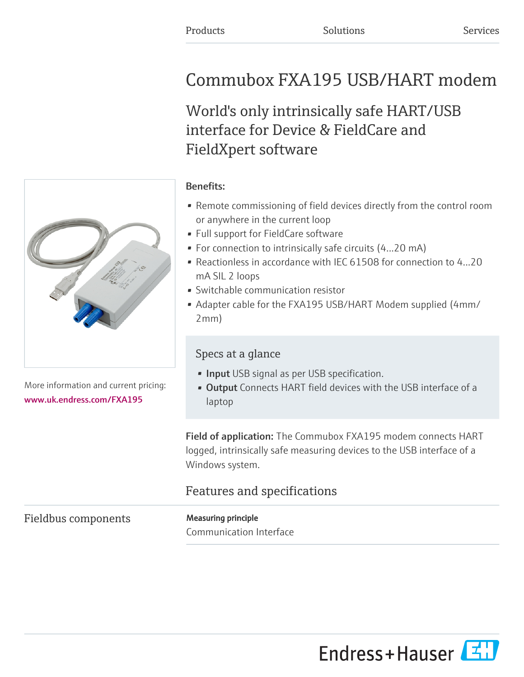# Commubox FXA195 USB/HART modem

World's only intrinsically safe HART/USB interface for Device & FieldCare and FieldXpert software

More information and current pricing: [www.uk.endress.com/FXA195](https://www.uk.endress.com/FXA195)

#### Benefits:

- Remote commissioning of field devices directly from the control room or anywhere in the current loop
- Full support for FieldCare software
- For connection to intrinsically safe circuits (4...20 mA)
- Reactionless in accordance with IEC 61508 for connection to 4...20 mA SIL 2 loops
- Switchable communication resistor
- Adapter cable for the FXA195 USB/HART Modem supplied (4mm/ 2mm)

## Specs at a glance

- **· Input** USB signal as per USB specification.
- **Output** Connects HART field devices with the USB interface of a laptop

Field of application: The Commubox FXA195 modem connects HART logged, intrinsically safe measuring devices to the USB interface of a Windows system.

# Features and specifications

## Fieldbus components Measuring principle

Communication Interface